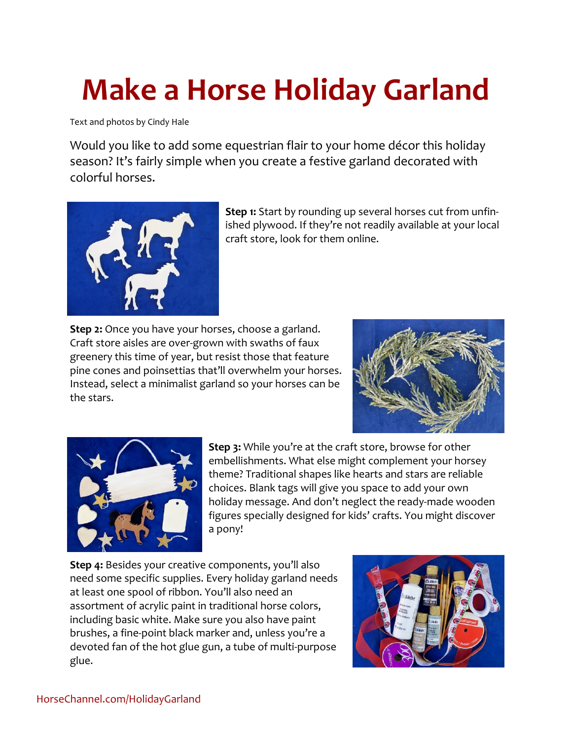## **Make a Horse Holiday Garland**

Text and photos by Cindy Hale

Would you like to add some equestrian flair to your home décor this holiday season? It's fairly simple when you create a festive garland decorated with colorful horses.



**Step 1:** Start by rounding up several horses cut from unfinished plywood. If they're not readily available at your local craft store, look for them online.

**Step 2:** Once you have your horses, choose a garland. Craft store aisles are over-grown with swaths of faux greenery this time of year, but resist those that feature pine cones and poinsettias that'll overwhelm your horses. Instead, select a minimalist garland so your horses can be the stars.





**Step 3:** While you're at the craft store, browse for other embellishments. What else might complement your horsey theme? Traditional shapes like hearts and stars are reliable choices. Blank tags will give you space to add your own holiday message. And don't neglect the ready-made wooden figures specially designed for kids' crafts. You might discover a pony!

**Step 4:** Besides your creative components, you'll also need some specific supplies. Every holiday garland needs at least one spool of ribbon. You'll also need an assortment of acrylic paint in traditional horse colors, including basic white. Make sure you also have paint brushes, a fine-point black marker and, unless you're a devoted fan of the hot glue gun, a tube of multi-purpose glue.